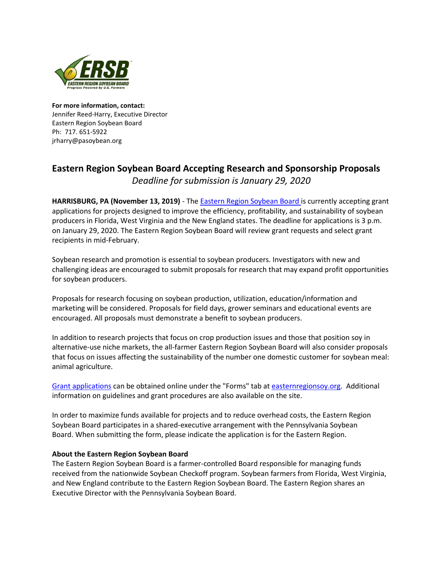

**For more information, contact:** Jennifer Reed-Harry, Executive Director Eastern Region Soybean Board Ph: 717. 651-5922 jrharry@pasoybean.org

## **Eastern Region Soybean Board Accepting Research and Sponsorship Proposals** *Deadline for submission is January 29, 2020*

**HARRISBURG, PA (November 13, 2019)** - The [Eastern Region Soybean Board](http://easternregionsoy.org/) is currently accepting grant applications for projects designed to improve the efficiency, profitability, and sustainability of soybean producers in Florida, West Virginia and the New England states. The deadline for applications is 3 p.m. on January 29, 2020. The Eastern Region Soybean Board will review grant requests and select grant recipients in mid-February.

Soybean research and promotion is essential to soybean producers. Investigators with new and challenging ideas are encouraged to submit proposals for research that may expand profit opportunities for soybean producers.

Proposals for research focusing on soybean production, utilization, education/information and marketing will be considered. Proposals for field days, grower seminars and educational events are encouraged. All proposals must demonstrate a benefit to soybean producers.

In addition to research projects that focus on crop production issues and those that position soy in alternative-use niche markets, the all-farmer Eastern Region Soybean Board will also consider proposals that focus on issues affecting the sustainability of the number one domestic customer for soybean meal: animal agriculture.

[Grant applications](https://easternregionsoy.org/forms/research-request-for-proposal/) can be obtained online under the "Forms" tab at [easternregionsoy.org.](http://easternregionsoy.org/) Additional information on guidelines and grant procedures are also available on the site.

In order to maximize funds available for projects and to reduce overhead costs, the Eastern Region Soybean Board participates in a shared-executive arrangement with the Pennsylvania Soybean Board. When submitting the form, please indicate the application is for the Eastern Region.

## **About the Eastern Region Soybean Board**

The Eastern Region Soybean Board is a farmer-controlled Board responsible for managing funds received from the nationwide Soybean Checkoff program. Soybean farmers from Florida, West Virginia, and New England contribute to the Eastern Region Soybean Board. The Eastern Region shares an Executive Director with the Pennsylvania Soybean Board.